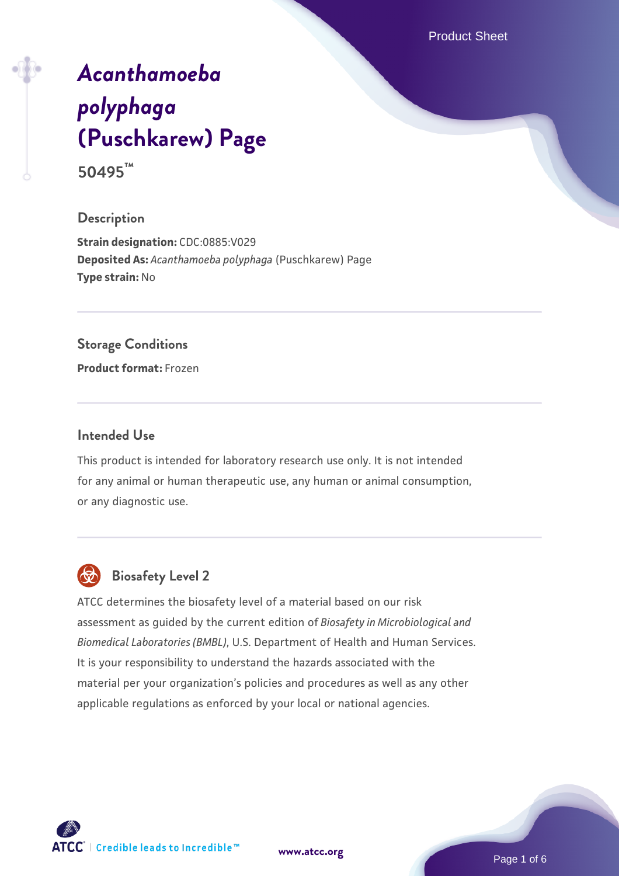Product Sheet

# *[Acanthamoeba](https://www.atcc.org/products/50495) [polyphaga](https://www.atcc.org/products/50495)* **[\(Puschkarew\) Page](https://www.atcc.org/products/50495)**

**50495™**

# **Description**

**Strain designation:** CDC:0885:V029 **Deposited As:** *Acanthamoeba polyphaga* (Puschkarew) Page **Type strain:** No

## **Storage Conditions**

**Product format:** Frozen

## **Intended Use**

This product is intended for laboratory research use only. It is not intended for any animal or human therapeutic use, any human or animal consumption, or any diagnostic use.



# **Biosafety Level 2**

ATCC determines the biosafety level of a material based on our risk assessment as guided by the current edition of *Biosafety in Microbiological and Biomedical Laboratories (BMBL)*, U.S. Department of Health and Human Services. It is your responsibility to understand the hazards associated with the material per your organization's policies and procedures as well as any other applicable regulations as enforced by your local or national agencies.



Page 1 of 6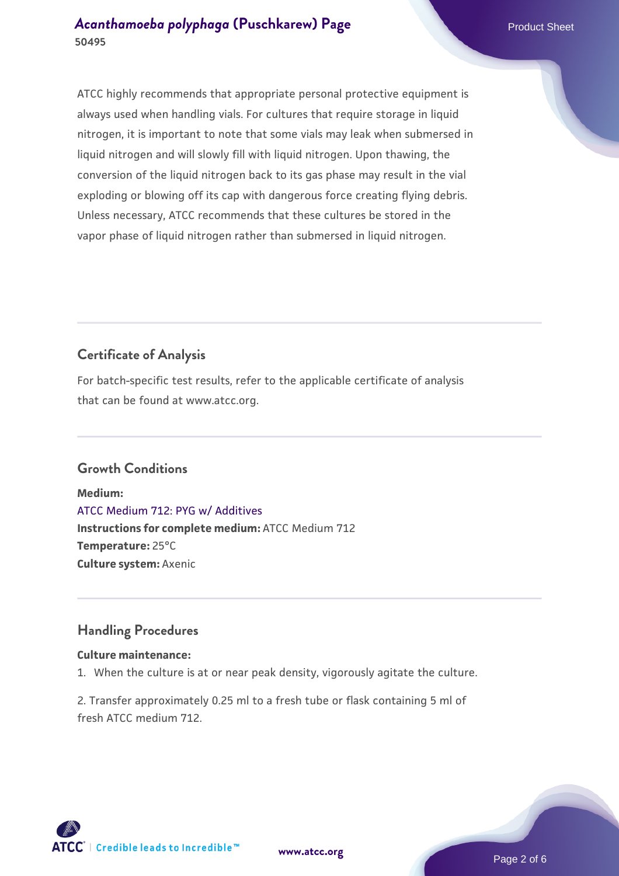## *[Acanthamoeba polyphaga](https://www.atcc.org/products/50495)* [\(Puschkarew\) Page](https://www.atcc.org/products/50495) Product Sheet **50495**

ATCC highly recommends that appropriate personal protective equipment is always used when handling vials. For cultures that require storage in liquid nitrogen, it is important to note that some vials may leak when submersed in liquid nitrogen and will slowly fill with liquid nitrogen. Upon thawing, the conversion of the liquid nitrogen back to its gas phase may result in the vial exploding or blowing off its cap with dangerous force creating flying debris. Unless necessary, ATCC recommends that these cultures be stored in the vapor phase of liquid nitrogen rather than submersed in liquid nitrogen.

# **Certificate of Analysis**

For batch-specific test results, refer to the applicable certificate of analysis that can be found at www.atcc.org.

# **Growth Conditions**

**Medium:**  [ATCC Medium 712: PYG w/ Additives](https://www.atcc.org/-/media/product-assets/documents/microbial-media-formulations/7/1/2/atcc-medium-712.pdf?rev=7a3975f3ced8477999762ca76164fb74) **Instructions for complete medium:** ATCC Medium 712 **Temperature:** 25°C **Culture system:** Axenic

## **Handling Procedures**

## **Culture maintenance:**

1. When the culture is at or near peak density, vigorously agitate the culture.

2. Transfer approximately 0.25 ml to a fresh tube or flask containing 5 ml of fresh ATCC medium 712.





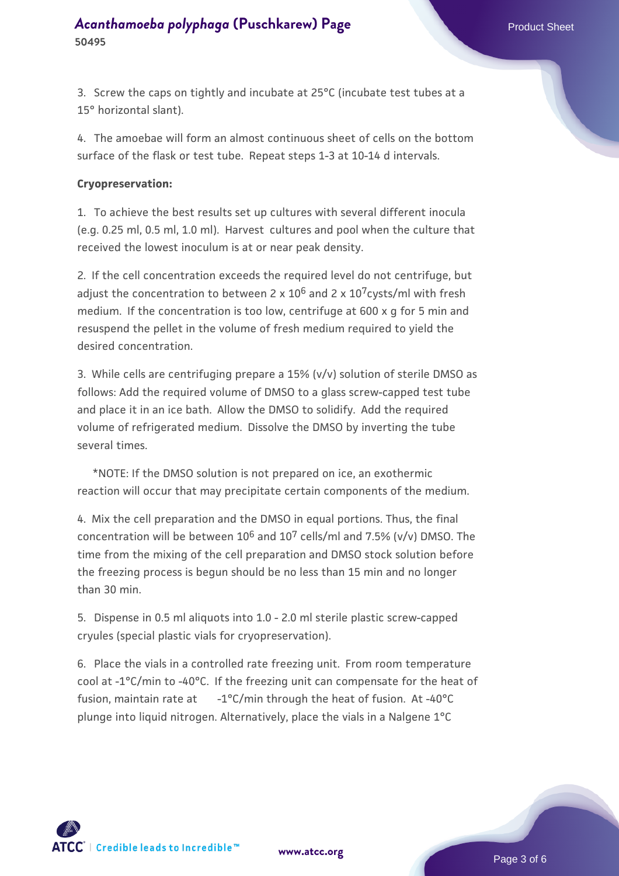3. Screw the caps on tightly and incubate at 25°C (incubate test tubes at a 15° horizontal slant).

4. The amoebae will form an almost continuous sheet of cells on the bottom surface of the flask or test tube. Repeat steps 1-3 at 10-14 d intervals.

#### **Cryopreservation:**

1. To achieve the best results set up cultures with several different inocula (e.g. 0.25 ml, 0.5 ml, 1.0 ml). Harvest cultures and pool when the culture that received the lowest inoculum is at or near peak density.

2. If the cell concentration exceeds the required level do not centrifuge, but adjust the concentration to between 2 x  $10^6$  and 2 x  $10^7$ cysts/ml with fresh medium. If the concentration is too low, centrifuge at 600 x g for 5 min and resuspend the pellet in the volume of fresh medium required to yield the desired concentration.

3. While cells are centrifuging prepare a 15% (v/v) solution of sterile DMSO as follows: Add the required volume of DMSO to a glass screw-capped test tube and place it in an ice bath. Allow the DMSO to solidify. Add the required volume of refrigerated medium. Dissolve the DMSO by inverting the tube several times.

 \*NOTE: If the DMSO solution is not prepared on ice, an exothermic reaction will occur that may precipitate certain components of the medium.

4. Mix the cell preparation and the DMSO in equal portions. Thus, the final concentration will be between  $10^6$  and  $10^7$  cells/ml and 7.5% (v/v) DMSO. The time from the mixing of the cell preparation and DMSO stock solution before the freezing process is begun should be no less than 15 min and no longer than 30 min.

5. Dispense in 0.5 ml aliquots into 1.0 - 2.0 ml sterile plastic screw-capped cryules (special plastic vials for cryopreservation).

6. Place the vials in a controlled rate freezing unit. From room temperature cool at -1°C/min to -40°C. If the freezing unit can compensate for the heat of fusion, maintain rate at  $-1^{\circ}C/min$  through the heat of fusion. At -40 $^{\circ}C$ plunge into liquid nitrogen. Alternatively, place the vials in a Nalgene 1°C



**[www.atcc.org](http://www.atcc.org)**

Page 3 of 6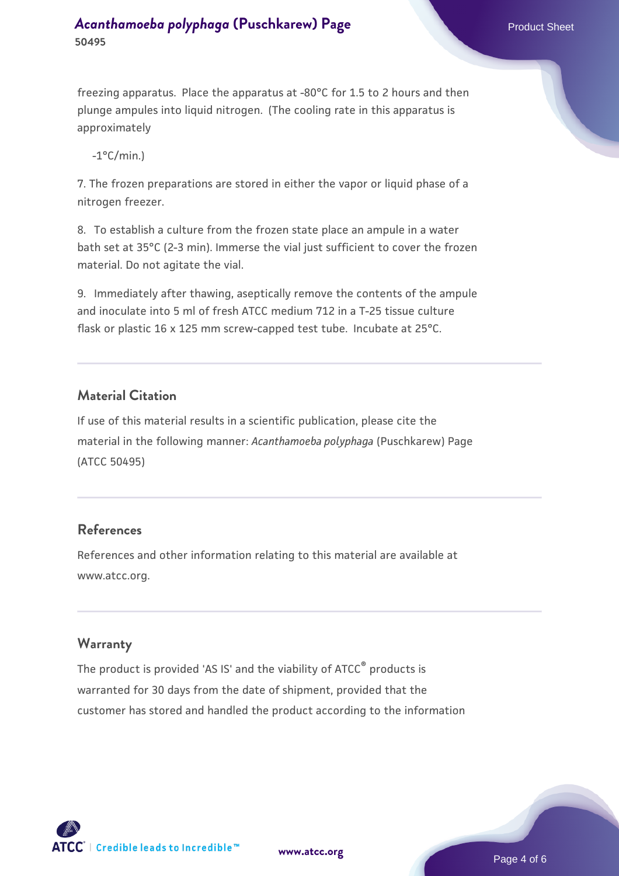# *[Acanthamoeba polyphaga](https://www.atcc.org/products/50495)* [\(Puschkarew\) Page](https://www.atcc.org/products/50495) Product Sheet **50495**

freezing apparatus. Place the apparatus at -80°C for 1.5 to 2 hours and then plunge ampules into liquid nitrogen. (The cooling rate in this apparatus is approximately

 $-1$ °C/min.)

7. The frozen preparations are stored in either the vapor or liquid phase of a nitrogen freezer.

8. To establish a culture from the frozen state place an ampule in a water bath set at 35°C (2-3 min). Immerse the vial just sufficient to cover the frozen material. Do not agitate the vial.

9. Immediately after thawing, aseptically remove the contents of the ampule and inoculate into 5 ml of fresh ATCC medium 712 in a T-25 tissue culture flask or plastic 16 x 125 mm screw-capped test tube. Incubate at 25°C.

# **Material Citation**

If use of this material results in a scientific publication, please cite the material in the following manner: *Acanthamoeba polyphaga* (Puschkarew) Page (ATCC 50495)

# **References**

References and other information relating to this material are available at www.atcc.org.

# **Warranty**

The product is provided 'AS IS' and the viability of ATCC<sup>®</sup> products is warranted for 30 days from the date of shipment, provided that the customer has stored and handled the product according to the information

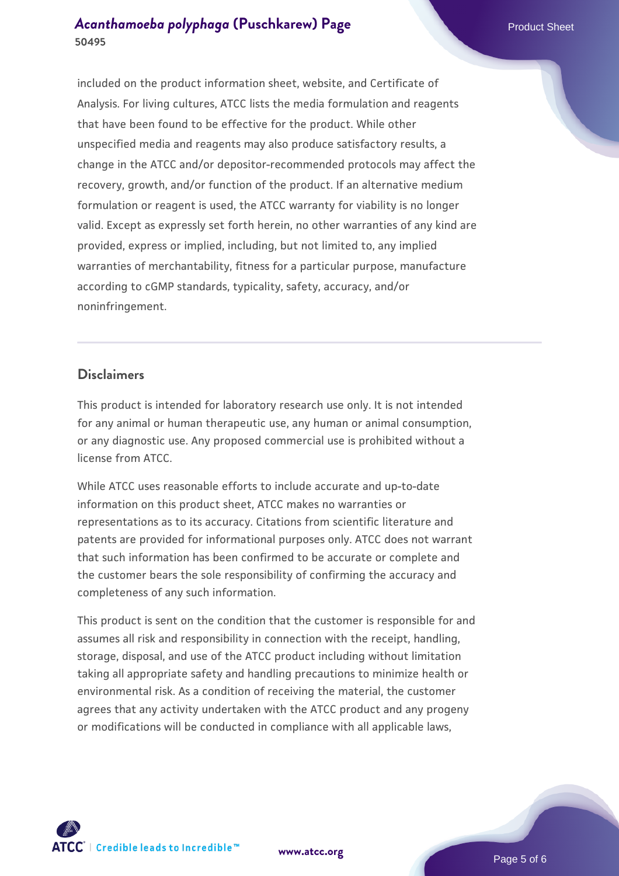# *[Acanthamoeba polyphaga](https://www.atcc.org/products/50495)* [\(Puschkarew\) Page](https://www.atcc.org/products/50495) Product Sheet **50495**

included on the product information sheet, website, and Certificate of Analysis. For living cultures, ATCC lists the media formulation and reagents that have been found to be effective for the product. While other unspecified media and reagents may also produce satisfactory results, a change in the ATCC and/or depositor-recommended protocols may affect the recovery, growth, and/or function of the product. If an alternative medium formulation or reagent is used, the ATCC warranty for viability is no longer valid. Except as expressly set forth herein, no other warranties of any kind are provided, express or implied, including, but not limited to, any implied warranties of merchantability, fitness for a particular purpose, manufacture according to cGMP standards, typicality, safety, accuracy, and/or noninfringement.

## **Disclaimers**

This product is intended for laboratory research use only. It is not intended for any animal or human therapeutic use, any human or animal consumption, or any diagnostic use. Any proposed commercial use is prohibited without a license from ATCC.

While ATCC uses reasonable efforts to include accurate and up-to-date information on this product sheet, ATCC makes no warranties or representations as to its accuracy. Citations from scientific literature and patents are provided for informational purposes only. ATCC does not warrant that such information has been confirmed to be accurate or complete and the customer bears the sole responsibility of confirming the accuracy and completeness of any such information.

This product is sent on the condition that the customer is responsible for and assumes all risk and responsibility in connection with the receipt, handling, storage, disposal, and use of the ATCC product including without limitation taking all appropriate safety and handling precautions to minimize health or environmental risk. As a condition of receiving the material, the customer agrees that any activity undertaken with the ATCC product and any progeny or modifications will be conducted in compliance with all applicable laws,



**[www.atcc.org](http://www.atcc.org)**

Page 5 of 6